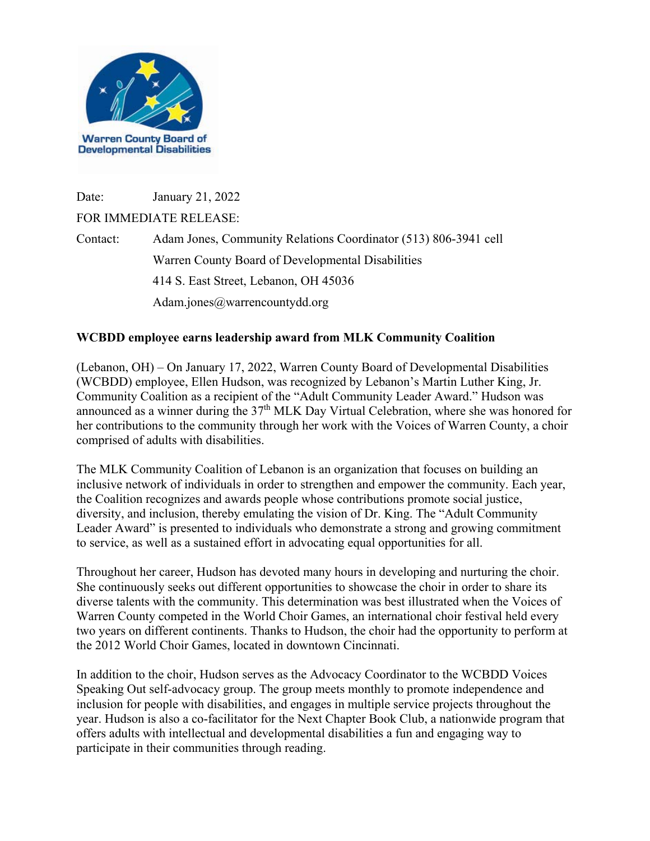

Date: January 21, 2022

## FOR IMMEDIATE RELEASE:

Contact: Adam Jones, Community Relations Coordinator (513) 806-3941 cell Warren County Board of Developmental Disabilities 414 S. East Street, Lebanon, OH 45036 Adam.jones@warrencountydd.org

## **WCBDD employee earns leadership award from MLK Community Coalition**

(Lebanon, OH) – On January 17, 2022, Warren County Board of Developmental Disabilities (WCBDD) employee, Ellen Hudson, was recognized by Lebanon's Martin Luther King, Jr. Community Coalition as a recipient of the "Adult Community Leader Award." Hudson was announced as a winner during the 37<sup>th</sup> MLK Day Virtual Celebration, where she was honored for her contributions to the community through her work with the Voices of Warren County, a choir comprised of adults with disabilities.

The MLK Community Coalition of Lebanon is an organization that focuses on building an inclusive network of individuals in order to strengthen and empower the community. Each year, the Coalition recognizes and awards people whose contributions promote social justice, diversity, and inclusion, thereby emulating the vision of Dr. King. The "Adult Community Leader Award" is presented to individuals who demonstrate a strong and growing commitment to service, as well as a sustained effort in advocating equal opportunities for all.

Throughout her career, Hudson has devoted many hours in developing and nurturing the choir. She continuously seeks out different opportunities to showcase the choir in order to share its diverse talents with the community. This determination was best illustrated when the Voices of Warren County competed in the World Choir Games, an international choir festival held every two years on different continents. Thanks to Hudson, the choir had the opportunity to perform at the 2012 World Choir Games, located in downtown Cincinnati.

In addition to the choir, Hudson serves as the Advocacy Coordinator to the WCBDD Voices Speaking Out self-advocacy group. The group meets monthly to promote independence and inclusion for people with disabilities, and engages in multiple service projects throughout the year. Hudson is also a co-facilitator for the Next Chapter Book Club, a nationwide program that offers adults with intellectual and developmental disabilities a fun and engaging way to participate in their communities through reading.